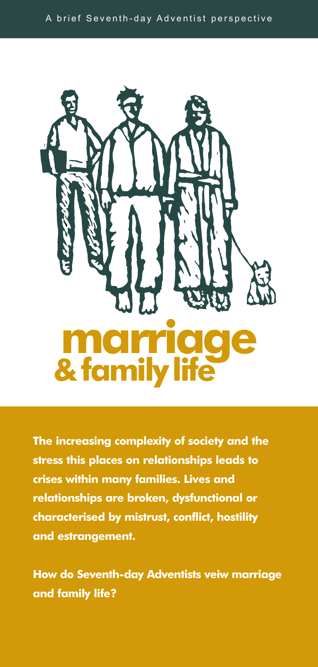



**The increasing complexity of society and the stress this places on relationships leads to crises within many families. Lives and relationships are broken, dysfunctional or characterised by mistrust, conflict, hostility and estrangement.**

**How do Seventh-day Adventists veiw marriage and family life?**